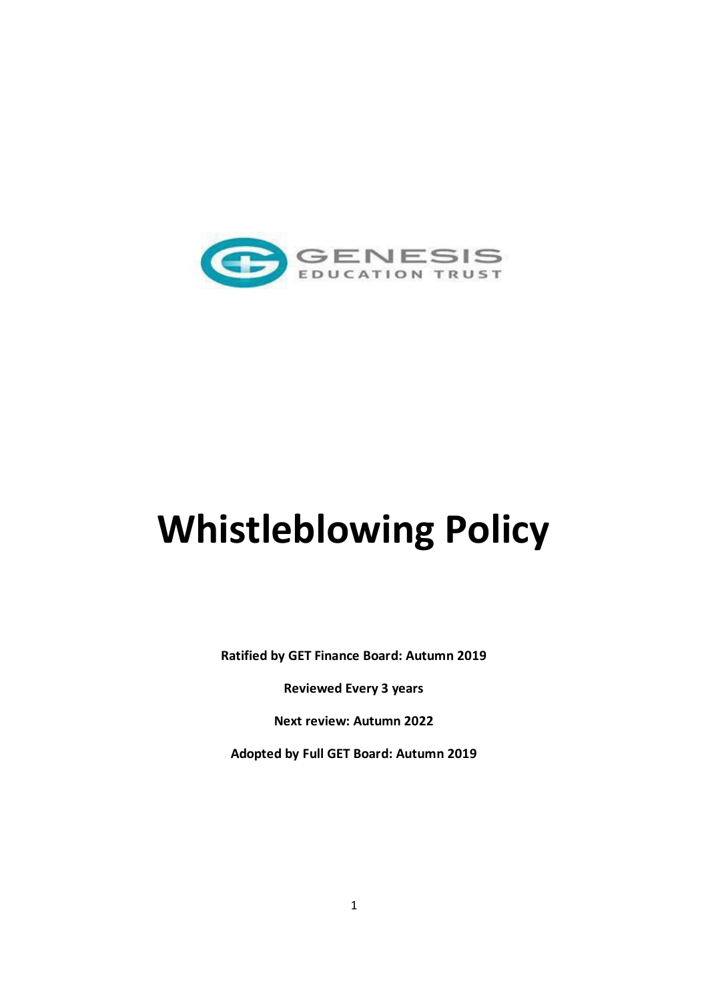

# **Whistleblowing Policy**

**Ratified by GET Finance Board: Autumn 2019**

**Reviewed Every 3 years**

**Next review: Autumn 2022**

**Adopted by Full GET Board: Autumn 2019**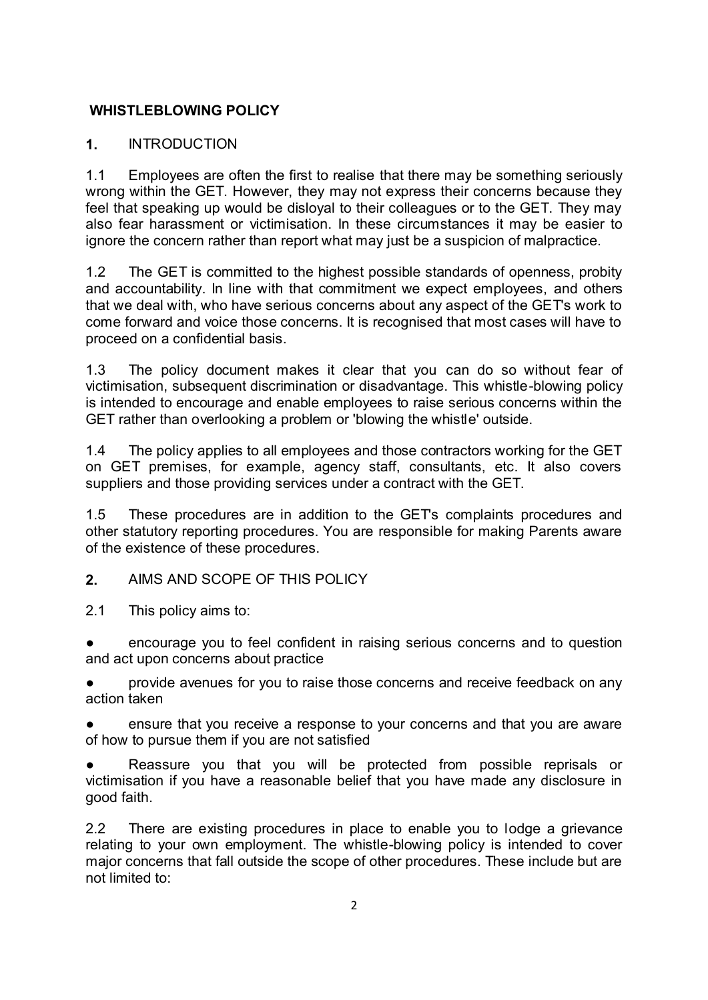## **WHISTLEBLOWING POLICY**

## **1.** INTRODUCTION

1.1 Employees are often the first to realise that there may be something seriously wrong within the GET. However, they may not express their concerns because they feel that speaking up would be disloyal to their colleagues or to the GET. They may also fear harassment or victimisation. In these circumstances it may be easier to ignore the concern rather than report what may just be a suspicion of malpractice.

1.2 The GET is committed to the highest possible standards of openness, probity and accountability. In line with that commitment we expect employees, and others that we deal with, who have serious concerns about any aspect of the GET's work to come forward and voice those concerns. It is recognised that most cases will have to proceed on a confidential basis.

1.3 The policy document makes it clear that you can do so without fear of victimisation, subsequent discrimination or disadvantage. This whistle-blowing policy is intended to encourage and enable employees to raise serious concerns within the GET rather than overlooking a problem or 'blowing the whistle' outside.

1.4 The policy applies to all employees and those contractors working for the GET on GET premises, for example, agency staff, consultants, etc. It also covers suppliers and those providing services under a contract with the GET.

1.5 These procedures are in addition to the GET's complaints procedures and other statutory reporting procedures. You are responsible for making Parents aware of the existence of these procedures.

**2.** AIMS AND SCOPE OF THIS POLICY

2.1 This policy aims to:

encourage you to feel confident in raising serious concerns and to question and act upon concerns about practice

provide avenues for you to raise those concerns and receive feedback on any action taken

ensure that you receive a response to your concerns and that you are aware of how to pursue them if you are not satisfied

Reassure you that you will be protected from possible reprisals or victimisation if you have a reasonable belief that you have made any disclosure in good faith.

2.2 There are existing procedures in place to enable you to lodge a grievance relating to your own employment. The whistle-blowing policy is intended to cover major concerns that fall outside the scope of other procedures. These include but are not limited to: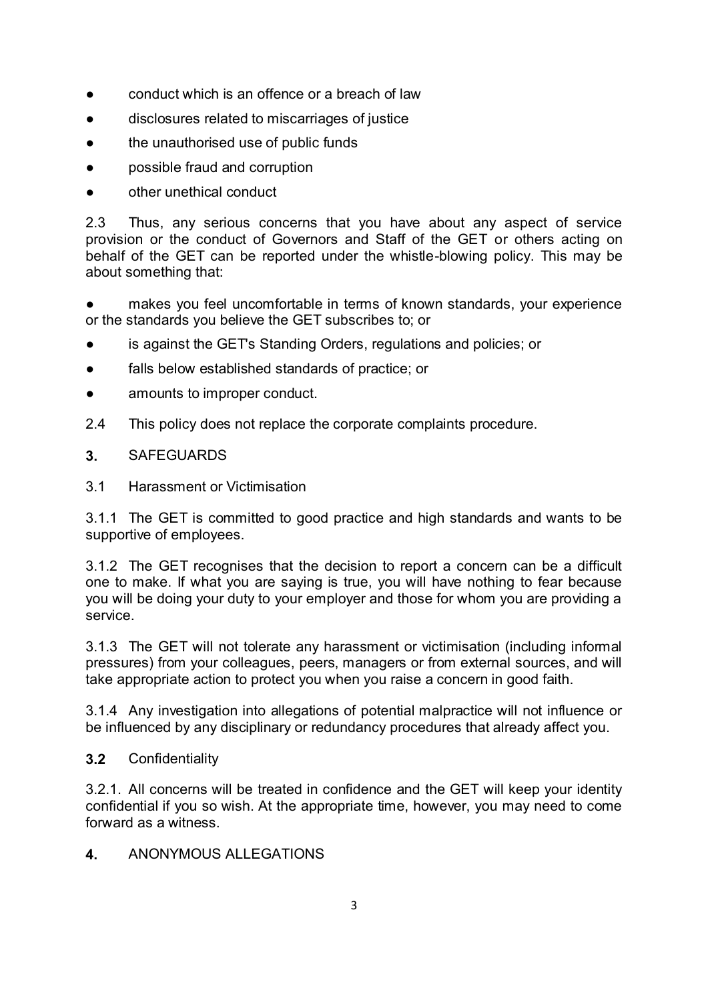- conduct which is an offence or a breach of law
- disclosures related to miscarriages of justice
- the unauthorised use of public funds
- possible fraud and corruption
- other unethical conduct

2.3 Thus, any serious concerns that you have about any aspect of service provision or the conduct of Governors and Staff of the GET or others acting on behalf of the GET can be reported under the whistle-blowing policy. This may be about something that:

● makes you feel uncomfortable in terms of known standards, your experience or the standards you believe the GET subscribes to; or

- is against the GET's Standing Orders, regulations and policies; or
- falls below established standards of practice; or
- amounts to improper conduct.
- 2.4 This policy does not replace the corporate complaints procedure.

# **3.** SAFEGUARDS

3.1 Harassment or Victimisation

3.1.1 The GET is committed to good practice and high standards and wants to be supportive of employees.

3.1.2 The GET recognises that the decision to report a concern can be a difficult one to make. If what you are saying is true, you will have nothing to fear because you will be doing your duty to your employer and those for whom you are providing a service.

3.1.3 The GET will not tolerate any harassment or victimisation (including informal pressures) from your colleagues, peers, managers or from external sources, and will take appropriate action to protect you when you raise a concern in good faith.

3.1.4 Any investigation into allegations of potential malpractice will not influence or be influenced by any disciplinary or redundancy procedures that already affect you.

## **3.2** Confidentiality

3.2.1. All concerns will be treated in confidence and the GET will keep your identity confidential if you so wish. At the appropriate time, however, you may need to come forward as a witness.

**4.** ANONYMOUS ALLEGATIONS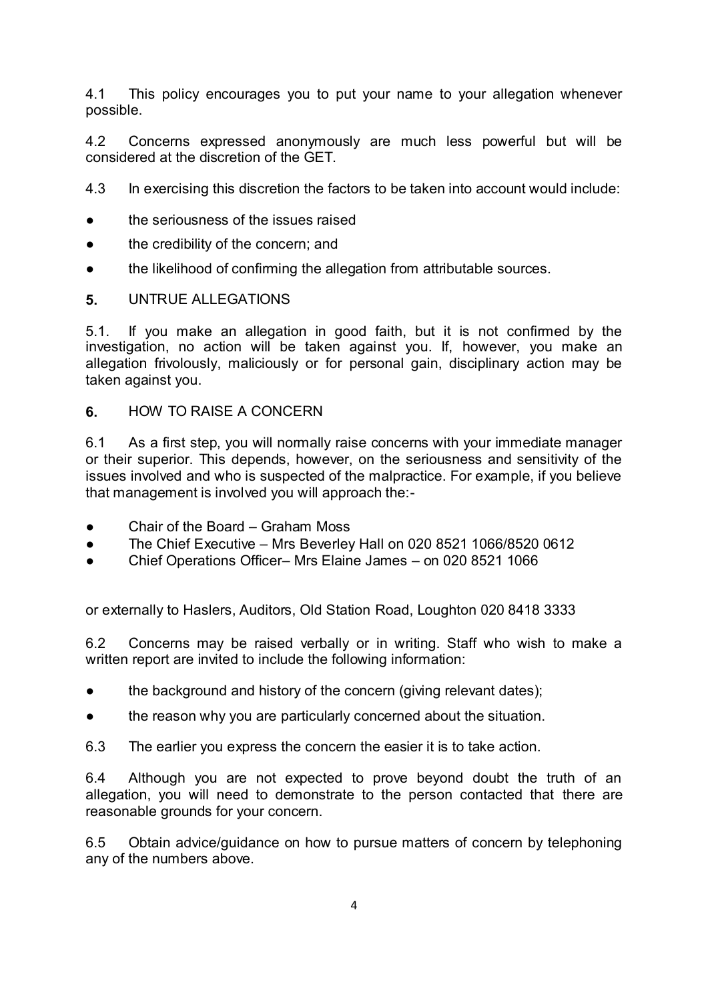4.1 This policy encourages you to put your name to your allegation whenever possible.

4.2 Concerns expressed anonymously are much less powerful but will be considered at the discretion of the GET.

4.3 In exercising this discretion the factors to be taken into account would include:

- the seriousness of the issues raised
- the credibility of the concern; and
- the likelihood of confirming the allegation from attributable sources.

#### **5.** UNTRUE ALLEGATIONS

5.1. If you make an allegation in good faith, but it is not confirmed by the investigation, no action will be taken against you. If, however, you make an allegation frivolously, maliciously or for personal gain, disciplinary action may be taken against you.

### **6.** HOW TO RAISE A CONCERN

6.1 As a first step, you will normally raise concerns with your immediate manager or their superior. This depends, however, on the seriousness and sensitivity of the issues involved and who is suspected of the malpractice. For example, if you believe that management is involved you will approach the:-

- Chair of the Board Graham Moss
- The Chief Executive Mrs Beverley Hall on 020 8521 1066/8520 0612
- Chief Operations Officer– Mrs Elaine James on 020 8521 1066

or externally to Haslers, Auditors, Old Station Road, Loughton 020 8418 3333

6.2 Concerns may be raised verbally or in writing. Staff who wish to make a written report are invited to include the following information:

- the background and history of the concern (giving relevant dates);
- the reason why you are particularly concerned about the situation.
- 6.3 The earlier you express the concern the easier it is to take action.

6.4 Although you are not expected to prove beyond doubt the truth of an allegation, you will need to demonstrate to the person contacted that there are reasonable grounds for your concern.

6.5 Obtain advice/guidance on how to pursue matters of concern by telephoning any of the numbers above.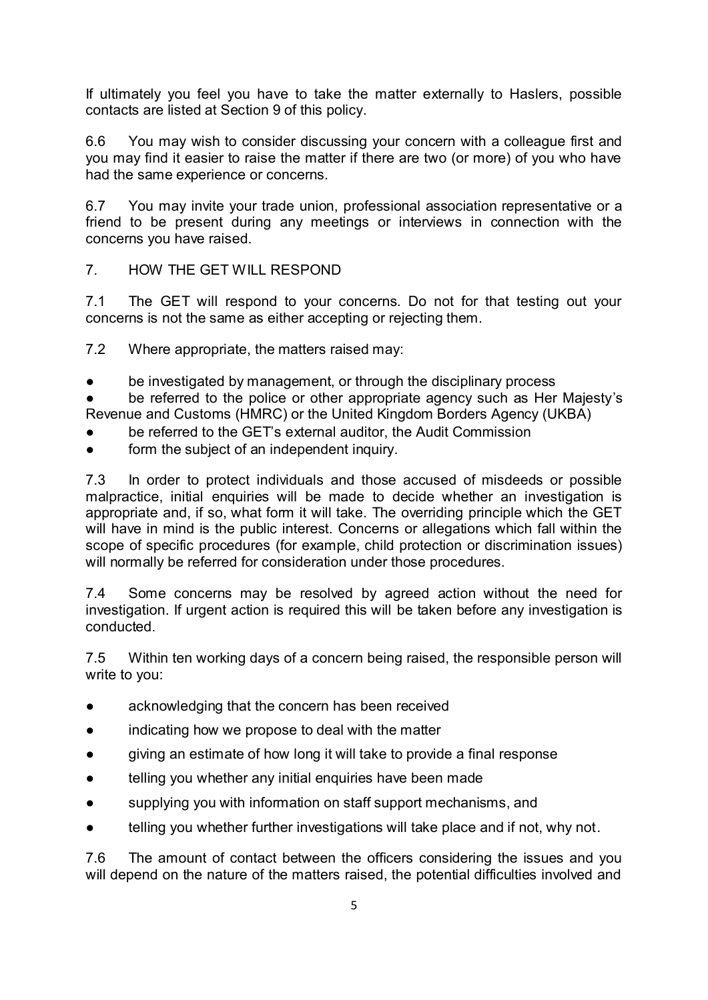If ultimately you feel you have to take the matter externally to Haslers, possible contacts are listed at Section 9 of this policy.

6.6 You may wish to consider discussing your concern with a colleague first and you may find it easier to raise the matter if there are two (or more) of you who have had the same experience or concerns.

6.7 You may invite your trade union, professional association representative or a friend to be present during any meetings or interviews in connection with the concerns you have raised.

7. HOW THE GET WILL RESPOND

7.1 The GET will respond to your concerns. Do not for that testing out your concerns is not the same as either accepting or rejecting them.

7.2 Where appropriate, the matters raised may:

be investigated by management, or through the disciplinary process

be referred to the police or other appropriate agency such as Her Majesty's Revenue and Customs (HMRC) or the United Kingdom Borders Agency (UKBA)

- be referred to the GET's external auditor, the Audit Commission
- form the subject of an independent inquiry.

7.3 In order to protect individuals and those accused of misdeeds or possible malpractice, initial enquiries will be made to decide whether an investigation is appropriate and, if so, what form it will take. The overriding principle which the GET will have in mind is the public interest. Concerns or allegations which fall within the scope of specific procedures (for example, child protection or discrimination issues) will normally be referred for consideration under those procedures.

7.4 Some concerns may be resolved by agreed action without the need for investigation. If urgent action is required this will be taken before any investigation is conducted.

7.5 Within ten working days of a concern being raised, the responsible person will write to you:

- acknowledging that the concern has been received
- indicating how we propose to deal with the matter
- giving an estimate of how long it will take to provide a final response
- telling you whether any initial enquiries have been made
- supplying you with information on staff support mechanisms, and
- telling you whether further investigations will take place and if not, why not.

7.6 The amount of contact between the officers considering the issues and you will depend on the nature of the matters raised, the potential difficulties involved and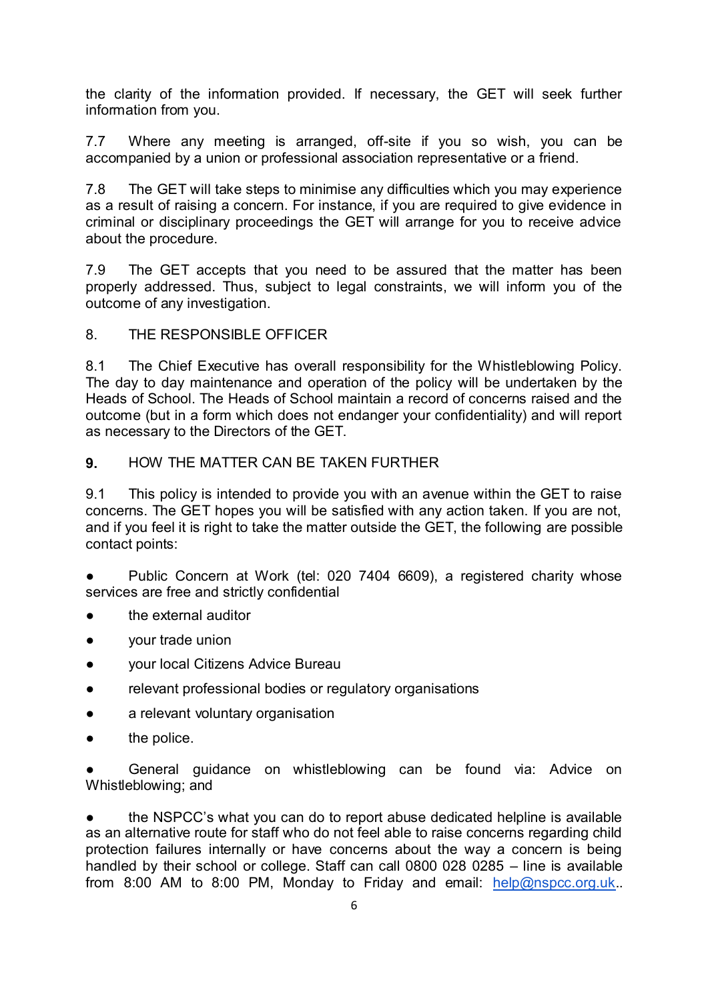the clarity of the information provided. If necessary, the GET will seek further information from you.

7.7 Where any meeting is arranged, off-site if you so wish, you can be accompanied by a union or professional association representative or a friend.

7.8 The GET will take steps to minimise any difficulties which you may experience as a result of raising a concern. For instance, if you are required to give evidence in criminal or disciplinary proceedings the GET will arrange for you to receive advice about the procedure.

7.9 The GET accepts that you need to be assured that the matter has been properly addressed. Thus, subject to legal constraints, we will inform you of the outcome of any investigation.

#### 8. THE RESPONSIBLE OFFICER

8.1 The Chief Executive has overall responsibility for the Whistleblowing Policy. The day to day maintenance and operation of the policy will be undertaken by the Heads of School. The Heads of School maintain a record of concerns raised and the outcome (but in a form which does not endanger your confidentiality) and will report as necessary to the Directors of the GET.

#### **9.** HOW THE MATTER CAN BE TAKEN FURTHER

9.1 This policy is intended to provide you with an avenue within the GET to raise concerns. The GET hopes you will be satisfied with any action taken. If you are not, and if you feel it is right to take the matter outside the GET, the following are possible contact points:

Public Concern at Work (tel: 020 7404 6609), a registered charity whose services are free and strictly confidential

- the external auditor
- your trade union
- vour local Citizens Advice Bureau
- relevant professional bodies or regulatory organisations
- a relevant voluntary organisation
- the police.

General guidance on whistleblowing can be found via: Advice on Whistleblowing; and

the NSPCC's what you can do to report abuse dedicated helpline is available as an alternative route for staff who do not feel able to raise concerns regarding child protection failures internally or have concerns about the way a concern is being handled by their school or college. Staff can call 0800 028 0285 – line is available from 8:00 AM to 8:00 PM, Monday to Friday and email: [help@nspcc.org.uk.](mailto:help@nspcc.org.uk).